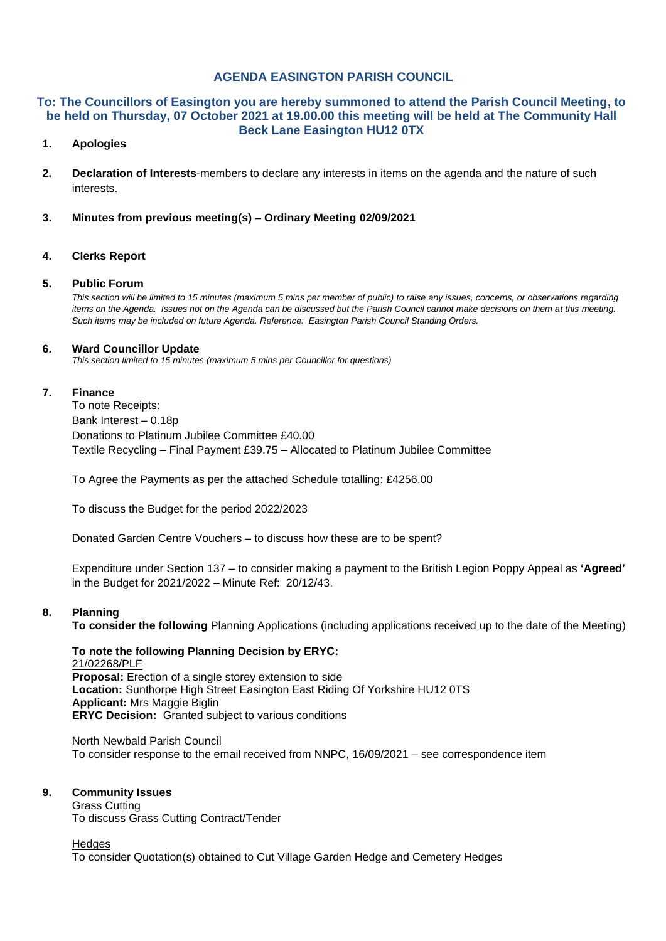## **AGENDA EASINGTON PARISH COUNCIL**

#### **To: The Councillors of Easington you are hereby summoned to attend the Parish Council Meeting, to be held on Thursday, 07 October 2021 at 19.00.00 this meeting will be held at The Community Hall Beck Lane Easington HU12 0TX**

## **1. Apologies**

- **2. Declaration of Interests**-members to declare any interests in items on the agenda and the nature of such interests.
- **3. Minutes from previous meeting(s) – Ordinary Meeting 02/09/2021**

## **4. Clerks Report**

#### **5. Public Forum**

*This section will be limited to 15 minutes (maximum 5 mins per member of public) to raise any issues, concerns, or observations regarding items on the Agenda. Issues not on the Agenda can be discussed but the Parish Council cannot make decisions on them at this meeting. Such items may be included on future Agenda. Reference: Easington Parish Council Standing Orders.*

#### **6. Ward Councillor Update**

*This section limited to 15 minutes (maximum 5 mins per Councillor for questions)*

## **7. Finance**

To note Receipts: Bank Interest – 0.18p Donations to Platinum Jubilee Committee £40.00 Textile Recycling – Final Payment £39.75 – Allocated to Platinum Jubilee Committee

To Agree the Payments as per the attached Schedule totalling: £4256.00

To discuss the Budget for the period 2022/2023

Donated Garden Centre Vouchers – to discuss how these are to be spent?

Expenditure under Section 137 – to consider making a payment to the British Legion Poppy Appeal as **'Agreed'** in the Budget for 2021/2022 – Minute Ref: 20/12/43.

## **8. Planning**

**To consider the following** Planning Applications (including applications received up to the date of the Meeting)

# **To note the following Planning Decision by ERYC:**

21/02268/PLF **Proposal:** Erection of a single storey extension to side **Location:** Sunthorpe High Street Easington East Riding Of Yorkshire HU12 0TS **Applicant:** Mrs Maggie Biglin **ERYC Decision:** Granted subject to various conditions

North Newbald Parish Council To consider response to the email received from NNPC, 16/09/2021 – see correspondence item

## **9. Community Issues**

Grass Cutting To discuss Grass Cutting Contract/Tender

#### Hedges

To consider Quotation(s) obtained to Cut Village Garden Hedge and Cemetery Hedges